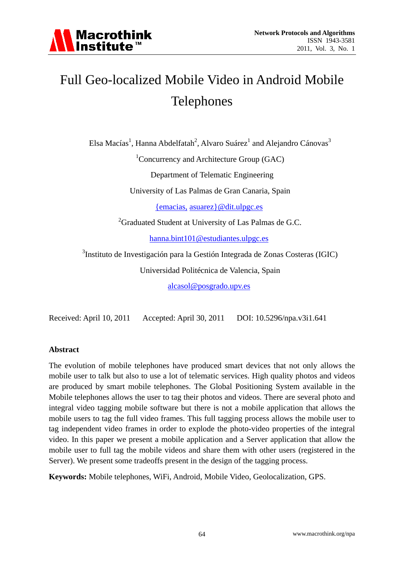

# Full Geo-localized Mobile Video in Android Mobile Telephones

Elsa Macías<sup>1</sup>, Hanna Abdelfatah<sup>2</sup>, Alvaro Suárez<sup>1</sup> and Alejandro Cánovas<sup>3</sup>

<sup>1</sup>Concurrency and Architecture Group (GAC)

Department of Telematic Engineering

University of Las Palmas de Gran Canaria, Spain

{emacias, asuarez}@dit.ulpgc.es

 ${}^{2}$ Graduated Student at University of Las Palmas de G.C.

hanna.bint101@estudiantes.ulpgc.es

<sup>3</sup>Instituto de Investigación para la Gestión Integrada de Zonas Costeras (IGIC)

Universidad Politécnica de Valencia, Spain

alcasol@posgrado.upv.es

Received: April 10, 2011 Accepted: April 30, 2011 DOI: 10.5296/npa.v3i1.641

### **Abstract**

The evolution of mobile telephones have produced smart devices that not only allows the mobile user to talk but also to use a lot of telematic services. High quality photos and videos are produced by smart mobile telephones. The Global Positioning System available in the Mobile telephones allows the user to tag their photos and videos. There are several photo and integral video tagging mobile software but there is not a mobile application that allows the mobile users to tag the full video frames. This full tagging process allows the mobile user to tag independent video frames in order to explode the photo-video properties of the integral video. In this paper we present a mobile application and a Server application that allow the mobile user to full tag the mobile videos and share them with other users (registered in the Server). We present some tradeoffs present in the design of the tagging process.

**Keywords:** Mobile telephones, WiFi, Android, Mobile Video, Geolocalization, GPS.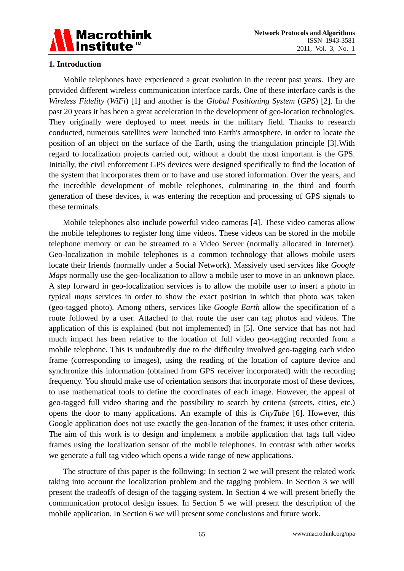

# **1. Introduction**

Mobile telephones have experienced a great evolution in the recent past years. They are provided different wireless communication interface cards. One of these interface cards is the *Wireless Fidelity* (*WiFi*) [1] and another is the *Global Positioning System* (*GPS*) [2]. In the past 20 years it has been a great acceleration in the development of geo-location technologies. They originally were deployed to meet needs in the military field. Thanks to research conducted, numerous satellites were launched into Earth's atmosphere, in order to locate the position of an object on the surface of the Earth, using the triangulation principle [3].With regard to localization projects carried out, without a doubt the most important is the GPS. Initially, the civil enforcement GPS devices were designed specifically to find the location of the system that incorporates them or to have and use stored information. Over the years, and the incredible development of mobile telephones, culminating in the third and fourth generation of these devices, it was entering the reception and processing of GPS signals to these terminals.

Mobile telephones also include powerful video cameras [4]. These video cameras allow the mobile telephones to register long time videos. These videos can be stored in the mobile telephone memory or can be streamed to a Video Server (normally allocated in Internet). Geo-localization in mobile telephones is a common technology that allows mobile users locate their friends (normally under a Social Network). Massively used services like *Google Maps* normally use the geo-localization to allow a mobile user to move in an unknown place. A step forward in geo-localization services is to allow the mobile user to insert a photo in typical *maps* services in order to show the exact position in which that photo was taken (geo-tagged photo). Among others, services like *Google Earth* allow the specification of a route followed by a user. Attached to that route the user can tag photos and videos. The application of this is explained (but not implemented) in [5]. One service that has not had much impact has been relative to the location of full video geo-tagging recorded from a mobile telephone. This is undoubtedly due to the difficulty involved geo-tagging each video frame (corresponding to images), using the reading of the location of capture device and synchronize this information (obtained from GPS receiver incorporated) with the recording frequency. You should make use of orientation sensors that incorporate most of these devices, to use mathematical tools to define the coordinates of each image. However, the appeal of geo-tagged full video sharing and the possibility to search by criteria (streets, cities, etc.) opens the door to many applications. An example of this is *CityTube* [6]. However, this Google application does not use exactly the geo-location of the frames; it uses other criteria. The aim of this work is to design and implement a mobile application that tags full video frames using the localization sensor of the mobile telephones. In contrast with other works we generate a full tag video which opens a wide range of new applications.

The structure of this paper is the following: In section 2 we will present the related work taking into account the localization problem and the tagging problem. In Section 3 we will present the tradeoffs of design of the tagging system. In Section 4 we will present briefly the communication protocol design issues. In Section 5 we will present the description of the mobile application. In Section 6 we will present some conclusions and future work.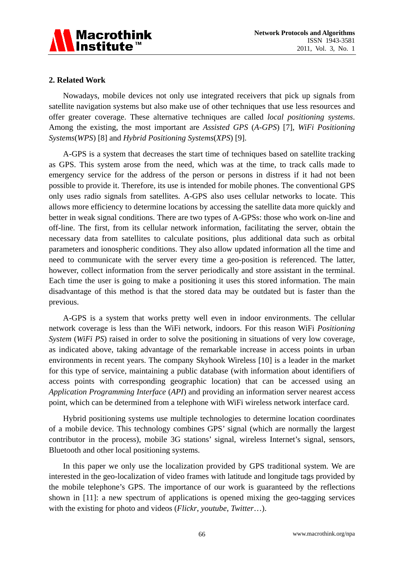

### **2. Related Work**

Nowadays, mobile devices not only use integrated receivers that pick up signals from satellite navigation systems but also make use of other techniques that use less resources and offer greater coverage. These alternative techniques are called *local positioning systems*. Among the existing, the most important are *Assisted GPS* (*A-GPS*) [7], *WiFi Positioning Systems*(*WPS*) [8] and *Hybrid Positioning Systems*(*XPS*) [9].

A-GPS is a system that decreases the start time of techniques based on satellite tracking as GPS. This system arose from the need, which was at the time, to track calls made to emergency service for the address of the person or persons in distress if it had not been possible to provide it. Therefore, its use is intended for mobile phones. The conventional GPS only uses radio signals from satellites. A-GPS also uses cellular networks to locate. This allows more efficiency to determine locations by accessing the satellite data more quickly and better in weak signal conditions. There are two types of A-GPSs: those who work on-line and off-line. The first, from its cellular network information, facilitating the server, obtain the necessary data from satellites to calculate positions, plus additional data such as orbital parameters and ionospheric conditions. They also allow updated information all the time and need to communicate with the server every time a geo-position is referenced. The latter, however, collect information from the server periodically and store assistant in the terminal. Each time the user is going to make a positioning it uses this stored information. The main disadvantage of this method is that the stored data may be outdated but is faster than the previous.

A-GPS is a system that works pretty well even in indoor environments. The cellular network coverage is less than the WiFi network, indoors. For this reason WiFi *Positioning System* (*WiFi PS*) raised in order to solve the positioning in situations of very low coverage, as indicated above, taking advantage of the remarkable increase in access points in urban environments in recent years. The company Skyhook Wireless [10] is a leader in the market for this type of service, maintaining a public database (with information about identifiers of access points with corresponding geographic location) that can be accessed using an *Application Programming Interface* (*API*) and providing an information server nearest access point, which can be determined from a telephone with WiFi wireless network interface card.

Hybrid positioning systems use multiple technologies to determine location coordinates of a mobile device. This technology combines GPS' signal (which are normally the largest contributor in the process), mobile 3G stations' signal, wireless Internet's signal, sensors, Bluetooth and other local positioning systems.

In this paper we only use the localization provided by GPS traditional system. We are interested in the geo-localization of video frames with latitude and longitude tags provided by the mobile telephone's GPS. The importance of our work is guaranteed by the reflections shown in [11]: a new spectrum of applications is opened mixing the geo-tagging services with the existing for photo and videos (*Flickr*, *youtube*, *Twitter*…).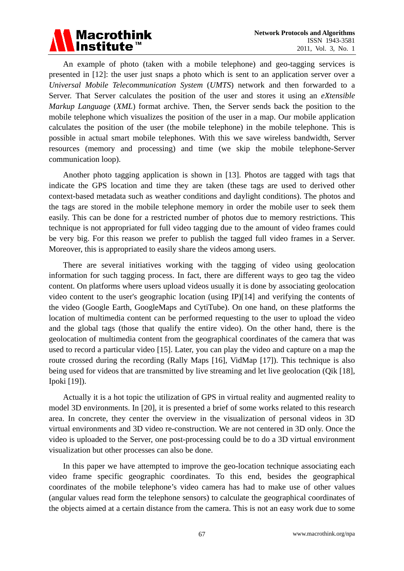

An example of photo (taken with a mobile telephone) and geo-tagging services is presented in [12]: the user just snaps a photo which is sent to an application server over a *Universal Mobile Telecommunication System* (*UMTS*) network and then forwarded to a Server. That Server calculates the position of the user and stores it using an *eXtensible Markup Language* (*XML*) format archive. Then, the Server sends back the position to the mobile telephone which visualizes the position of the user in a map. Our mobile application calculates the position of the user (the mobile telephone) in the mobile telephone. This is possible in actual smart mobile telephones. With this we save wireless bandwidth, Server resources (memory and processing) and time (we skip the mobile telephone-Server communication loop).

Another photo tagging application is shown in [13]. Photos are tagged with tags that indicate the GPS location and time they are taken (these tags are used to derived other context-based metadata such as weather conditions and daylight conditions). The photos and the tags are stored in the mobile telephone memory in order the mobile user to seek them easily. This can be done for a restricted number of photos due to memory restrictions. This technique is not appropriated for full video tagging due to the amount of video frames could be very big. For this reason we prefer to publish the tagged full video frames in a Server. Moreover, this is appropriated to easily share the videos among users.

There are several initiatives working with the tagging of video using geolocation information for such tagging process. In fact, there are different ways to geo tag the video content. On platforms where users upload videos usually it is done by associating geolocation video content to the user's geographic location (using IP)[14] and verifying the contents of the video (Google Earth, GoogleMaps and CytiTube). On one hand, on these platforms the location of multimedia content can be performed requesting to the user to upload the video and the global tags (those that qualify the entire video). On the other hand, there is the geolocation of multimedia content from the geographical coordinates of the camera that was used to record a particular video [15]. Later, you can play the video and capture on a map the route crossed during the recording (Rally Maps [16], VidMap [17]). This technique is also being used for videos that are transmitted by live streaming and let live geolocation (Qik [18], Ipoki [19]).

Actually it is a hot topic the utilization of GPS in virtual reality and augmented reality to model 3D environments. In [20], it is presented a brief of some works related to this research area. In concrete, they center the overview in the visualization of personal videos in 3D virtual environments and 3D video re-construction. We are not centered in 3D only. Once the video is uploaded to the Server, one post-processing could be to do a 3D virtual environment visualization but other processes can also be done.

In this paper we have attempted to improve the geo-location technique associating each video frame specific geographic coordinates. To this end, besides the geographical coordinates of the mobile telephone's video camera has had to make use of other values (angular values read form the telephone sensors) to calculate the geographical coordinates of the objects aimed at a certain distance from the camera. This is not an easy work due to some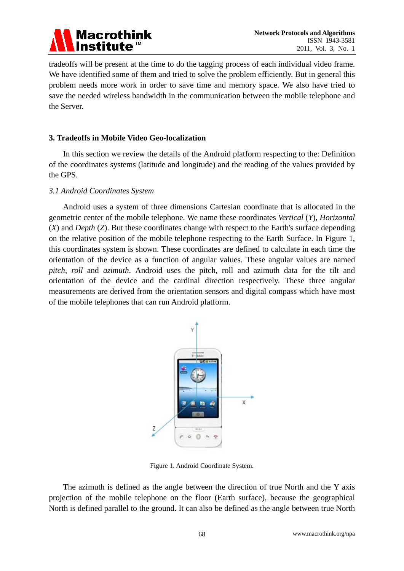

tradeoffs will be present at the time to do the tagging process of each individual video frame. We have identified some of them and tried to solve the problem efficiently. But in general this problem needs more work in order to save time and memory space. We also have tried to save the needed wireless bandwidth in the communication between the mobile telephone and the Server.

### **3. Tradeoffs in Mobile Video Geo-localization**

In this section we review the details of the Android platform respecting to the: Definition of the coordinates systems (latitude and longitude) and the reading of the values provided by the GPS.

### *3.1 Android Coordinates System*

Android uses a system of three dimensions Cartesian coordinate that is allocated in the geometric center of the mobile telephone. We name these coordinates *Vertical* (*Y*), *Horizontal* (*X*) and *Depth* (*Z*). But these coordinates change with respect to the Earth's surface depending on the relative position of the mobile telephone respecting to the Earth Surface. In Figure 1, this coordinates system is shown. These coordinates are defined to calculate in each time the orientation of the device as a function of angular values. These angular values are named *pitch*, *roll* and *azimuth*. Android uses the pitch, roll and azimuth data for the tilt and orientation of the device and the cardinal direction respectively. These three angular measurements are derived from the orientation sensors and digital compass which have most of the mobile telephones that can run Android platform.



Figure 1. Android Coordinate System.

The azimuth is defined as the angle between the direction of true North and the Y axis projection of the mobile telephone on the floor (Earth surface), because the geographical North is defined parallel to the ground. It can also be defined as the angle between true North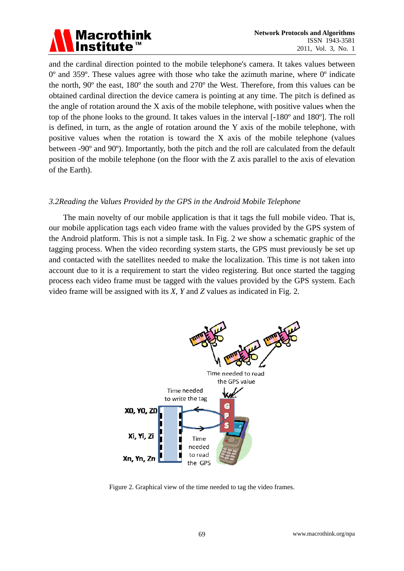

and the cardinal direction pointed to the mobile telephone's camera. It takes values between  $0^{\circ}$  and 359°. These values agree with those who take the azimuth marine, where  $0^{\circ}$  indicate the north, 90<sup>°</sup> the east, 180<sup>°</sup> the south and 270<sup>°</sup> the West. Therefore, from this values can be obtained cardinal direction the device camera is pointing at any time. The pitch is defined as the angle of rotation around the  $X$  axis of the mobile telephone, with positive values when the top of the phone looks to the ground. It takes values in the interval [-180° and 180°]. The roll is defined, in turn, as the angle of rotation around the Y axis of the mobile telephone, with positive values when the rotation is toward the  $X$  axis of the mobile telephone (values between -90° and 90°). Importantly, both the pitch and the roll are calculated from the default position of the mobile telephone (on the floor with the Z axis parallel to the axis of elevation of the E Earth).

# 3.2Reading the Values Provided by the GPS in the Android Mobile Telephone

The main novelty of our mobile application is that it tags the full mobile video. That is, our mobile application tags each video frame with the values provided by the GPS system of the Android platform. This is not a simple task. In Fig. 2 we show a schematic graphic of the tagging process. When the video recording system starts, the GPS must previously be set up and contacted with the satellites needed to make the localization. This time is not taken into account due to it is a requirement to start the video registering. But once started the tagging process each video frame must be tagged with the values provided by the GPS system. Each video frame will be assigned with its  $X$ ,  $Y$  and  $Z$  values as indicated in Fig. 2.



Figure 2. Graphical view of the time needed to tag the video frames.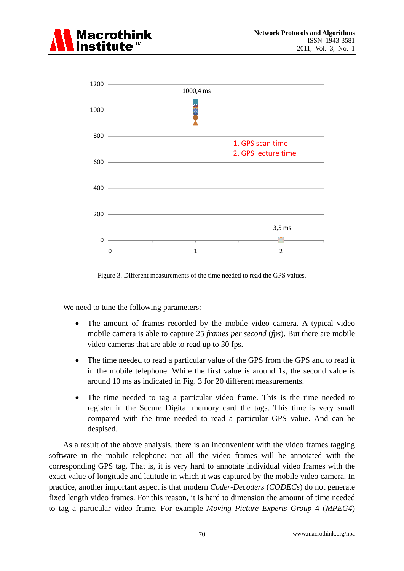



Figure 3. Different measurements of the time needed to read the GPS values.

We need to tune the following parameters:

- The amount of frames recorded by the mobile video camera. A typical video mobile camera is able to capture 25 *frames per second* (*fps*). But there are mobile video cameras that are able to read up to 30 fps.
- The time needed to read a particular value of the GPS from the GPS and to read it in the mobile telephone. While the first value is around 1s, the second value is around 10 ms as indicated in Fig. 3 for 20 different measurements.
- The time needed to tag a particular video frame. This is the time needed to register in the Secure Digital memory card the tags. This time is very small compared with the time needed to read a particular GPS value. And can be despised.

As a result of the above analysis, there is an inconvenient with the video frames tagging software in the mobile telephone: not all the video frames will be annotated with the corresponding GPS tag. That is, it is very hard to annotate individual video frames with the exact value of longitude and latitude in which it was captured by the mobile video camera. In practice, another important aspect is that modern *Coder-Decoders* (*CODECs*) do not generate fixed length video frames. For this reason, it is hard to dimension the amount of time needed to tag a particular video frame. For example *Moving Picture Experts Group* 4 (*MPEG4*)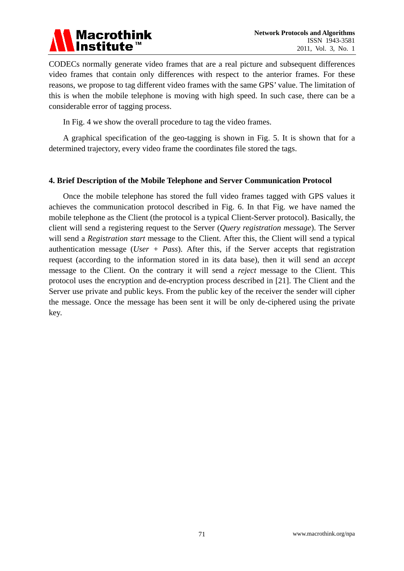# **Macrothink Institute**

CODECs normally generate video frames that are a real picture and subsequent differences video frames that contain only differences with respect to the anterior frames. For these reasons, we propose to tag different video frames with the same GPS' value. The limitation of this is when the mobile telephone is moving with high speed. In such case, there can be a considerable error of tagging process.

In Fig. 4 we show the overall procedure to tag the video frames.

A graphical specification of the geo-tagging is shown in Fig. 5. It is shown that for a determined trajectory, every video frame the coordinates file stored the tags.

# **4. Brief Description of the Mobile Telephone and Server Communication Protocol**

Once the mobile telephone has stored the full video frames tagged with GPS values it achieves the communication protocol described in Fig. 6. In that Fig. we have named the mobile telephone as the Client (the protocol is a typical Client-Server protocol). Basically, the client will send a registering request to the Server (*Query registration message*). The Server will send a *Registration start* message to the Client. After this, the Client will send a typical authentication message (*User + Pass*). After this, if the Server accepts that registration request (according to the information stored in its data base), then it will send an *accept*  message to the Client. On the contrary it will send a *reject* message to the Client. This protocol uses the encryption and de-encryption process described in [21]. The Client and the Server use private and public keys. From the public key of the receiver the sender will cipher the message. Once the message has been sent it will be only de-ciphered using the private key.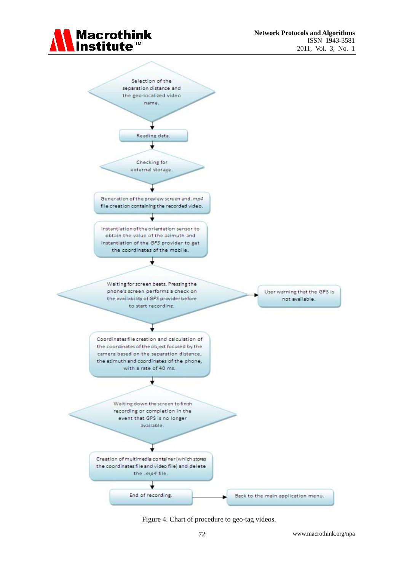



Figure 4. Chart of procedure to geo-tag videos.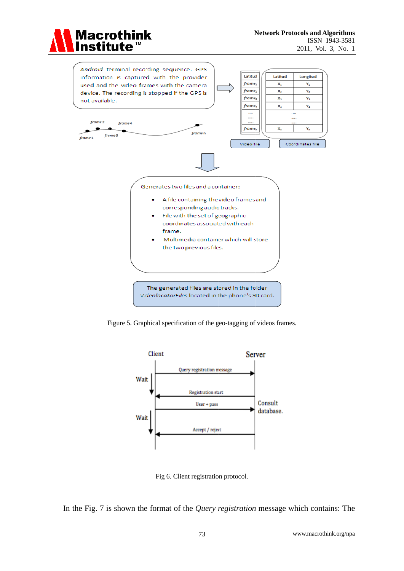



Figure 5. Graphical specification of the geo-tagging of videos frames.



Fig 6. Client registration protocol.

In the Fig. 7 is shown the format of the *Query registration* message which contains: The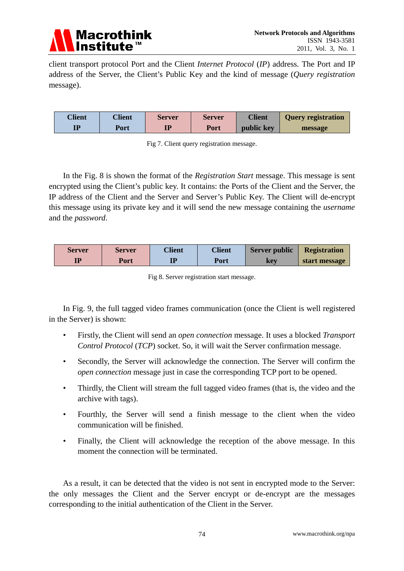

client transport protocol Port and the Client *Internet Protocol* (*IP*) address. The Port and IP address of the Server, the Client's Public Key and the kind of message (*Query registration*  message).

| <b>Client</b> | Client | Server    | Server | Client     | <b>Query registration</b> |
|---------------|--------|-----------|--------|------------|---------------------------|
| $\bf IP$      | Port   | TD<br>. . | Port   | public key | message                   |

Fig 7. Client query registration message.

In the Fig. 8 is shown the format of the *Registration Start* message. This message is sent encrypted using the Client's public key. It contains: the Ports of the Client and the Server, the IP address of the Client and the Server and Server's Public Key. The Client will de-encrypt this message using its private key and it will send the new message containing the *username* and the *password*.

| Server            | <b>Server</b> | Client   | <b>Client</b> | Server public | <b>Registration</b> |
|-------------------|---------------|----------|---------------|---------------|---------------------|
| ${\rm I} {\rm P}$ | Port          | $\bf IP$ | Port          | kev           | start message       |

Fig 8. Server registration start message.

In Fig. 9, the full tagged video frames communication (once the Client is well registered in the Server) is shown:

- Firstly, the Client will send an *open connection* message. It uses a blocked *Transport Control Protocol* (*TCP*) socket. So, it will wait the Server confirmation message.
- Secondly, the Server will acknowledge the connection. The Server will confirm the *open connection* message just in case the corresponding TCP port to be opened.
- Thirdly, the Client will stream the full tagged video frames (that is, the video and the archive with tags).
- Fourthly, the Server will send a finish message to the client when the video communication will be finished.
- Finally, the Client will acknowledge the reception of the above message. In this moment the connection will be terminated.

As a result, it can be detected that the video is not sent in encrypted mode to the Server: the only messages the Client and the Server encrypt or de-encrypt are the messages corresponding to the initial authentication of the Client in the Server.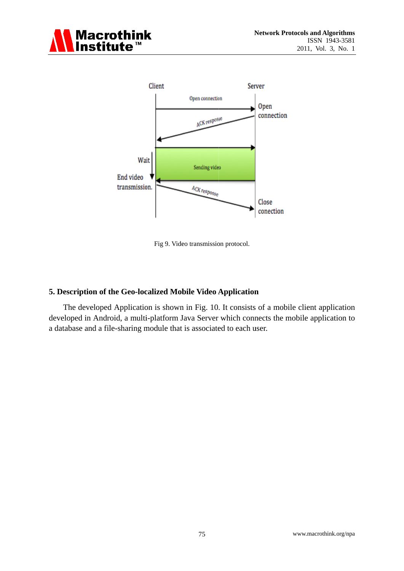



Fig 9. Video transmission protocol.

# **5.** Description of the Geo-localized Mobile Video Application

The developed Application is shown in Fig. 10. It consists of a mobile client application developed in Android, a multi-platform Java Server which connects the mobile application to a database and a file-sharing module that is associated to each user.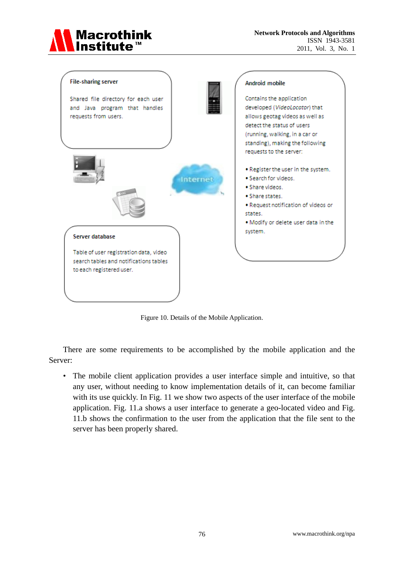



Figure 10. Details of the Mobile Application.

There are some requirements to be accomplished by the mobile application and the Server:

• The mobile client application provides a user interface simple and intuitive, so that any user, without needing to know implementation details of it, can become familiar with its use quickly. In Fig. 11 we show two aspects of the user interface of the mobile application. Fig. 11.a shows a user interface to generate a geo-located video and Fig. 11.b shows the confirmation to the user from the application that the file sent to the server has been properly shared.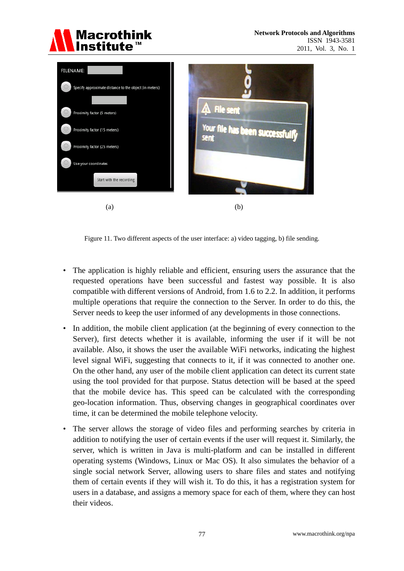



Figure 11. Two different aspects of the user interface: a) video tagging, b) file sending.

- The application is highly reliable and efficient, ensuring users the assurance that the requested operations have been successful and fastest way possible. It is also compatible with different versions of Android, from 1.6 to 2.2. In addition, it performs multiple operations that require the connection to the Server. In order to do this, the Server needs to keep the user informed of any developments in those connections.
- In addition, the mobile client application (at the beginning of every connection to the Server), first detects whether it is available, informing the user if it will be not available. Also, it shows the user the available WiFi networks, indicating the highest level signal WiFi, suggesting that connects to it, if it was connected to another one. On the other hand, any user of the mobile client application can detect its current state using the tool provided for that purpose. Status detection will be based at the speed that the mobile device has. This speed can be calculated with the corresponding geo-location information. Thus, observing changes in geographical coordinates over time, it can be determined the mobile telephone velocity.
- The server allows the storage of video files and performing searches by criteria in addition to notifying the user of certain events if the user will request it. Similarly, the server, which is written in Java is multi-platform and can be installed in different operating systems (Windows, Linux or Mac OS). It also simulates the behavior of a single social network Server, allowing users to share files and states and notifying them of certain events if they will wish it. To do this, it has a registration system for users in a database, and assigns a memory space for each of them, where they can host their videos.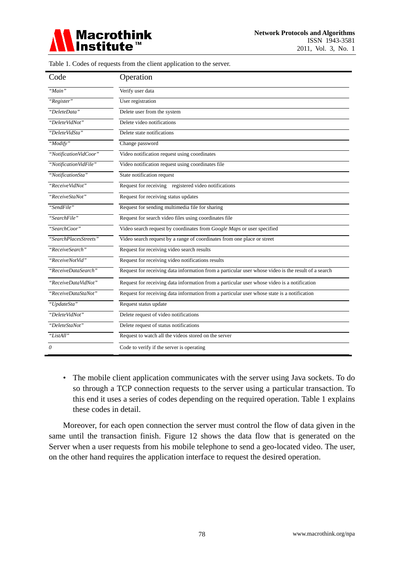

| Table 1. Codes of requests from the client application to the server. |  |  |  |  |  |  |  |
|-----------------------------------------------------------------------|--|--|--|--|--|--|--|
|-----------------------------------------------------------------------|--|--|--|--|--|--|--|

| Code                  | Operation                                                                                           |
|-----------------------|-----------------------------------------------------------------------------------------------------|
| "Main"                | Verify user data                                                                                    |
| "Register"            | User registration                                                                                   |
| "DeleteData"          | Delete user from the system                                                                         |
| "DeleteVidNot"        | Delete video notifications                                                                          |
| "DeleteVidSta"        | Delete state notifications                                                                          |
| "Modify"              | Change password                                                                                     |
| "NotificationVidCoor" | Video notification request using coordinates                                                        |
| "NotificationVidFile" | Video notification request using coordinates file                                                   |
| "NotificationSta"     | State notification request                                                                          |
| "ReceiveVidNot"       | Request for receiving registered video notifications                                                |
| "ReceiveStaNot"       | Request for receiving status updates                                                                |
| "SendFile"            | Request for sending multimedia file for sharing                                                     |
| "SearchFile"          | Request for search video files using coordinates file                                               |
| "SearchCoor"          | Video search request by coordinates from Google Maps or user specified                              |
| "SearchPlacesStreets" | Video search request by a range of coordinates from one place or street                             |
| "ReceiveSearch"       | Request for receiving video search results                                                          |
| "ReceiveNotVid"       | Request for receiving video notifications results                                                   |
| "ReceiveDataSearch"   | Request for receiving data information from a particular user whose video is the result of a search |
| "ReceiveDataVidNot"   | Request for receiving data information from a particular user whose video is a notification         |
| "ReceiveDataStaNot"   | Request for receiving data information from a particular user whose state is a notification         |
| "UpdateSta"           | Request status update                                                                               |
| "DeleteVidNot"        | Delete request of video notifications                                                               |
| "DeleteStaNot"        | Delete request of status notifications                                                              |
| "ListAll"             | Request to watch all the videos stored on the server                                                |
| $\theta$              | Code to verify if the server is operating                                                           |

• The mobile client application communicates with the server using Java sockets. To do so through a TCP connection requests to the server using a particular transaction. To this end it uses a series of codes depending on the required operation. Table 1 explains these codes in detail.

Moreover, for each open connection the server must control the flow of data given in the same until the transaction finish. Figure 12 shows the data flow that is generated on the Server when a user requests from his mobile telephone to send a geo-located video. The user, on the other hand requires the application interface to request the desired operation.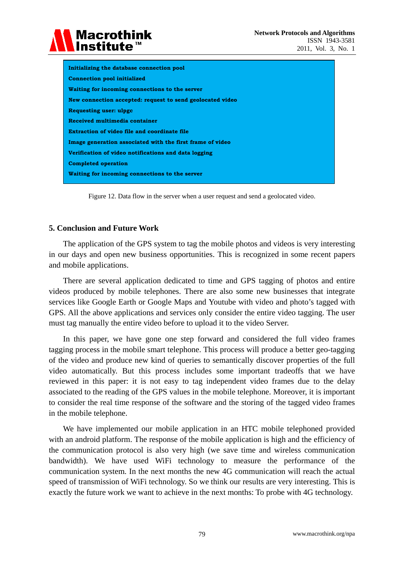

| Initializing the database connection pool                 |
|-----------------------------------------------------------|
| <b>Connection pool initialized</b>                        |
| Waiting for incoming connections to the server            |
| New connection accepted: request to send geolocated video |
| <b>Requesting user: ulpgc</b>                             |
| Received multimedia container                             |
| <b>Extraction of video file and coordinate file</b>       |
| Image generation associated with the first frame of video |
| Verification of video notifications and data logging      |
| <b>Completed operation</b>                                |
| Waiting for incoming connections to the server            |

Figure 12. Data flow in the server when a user request and send a geolocated video.

### **5. Conclusion and Future Work**

The application of the GPS system to tag the mobile photos and videos is very interesting in our days and open new business opportunities. This is recognized in some recent papers and mobile applications.

There are several application dedicated to time and GPS tagging of photos and entire videos produced by mobile telephones. There are also some new businesses that integrate services like Google Earth or Google Maps and Youtube with video and photo's tagged with GPS. All the above applications and services only consider the entire video tagging. The user must tag manually the entire video before to upload it to the video Server.

In this paper, we have gone one step forward and considered the full video frames tagging process in the mobile smart telephone. This process will produce a better geo-tagging of the video and produce new kind of queries to semantically discover properties of the full video automatically. But this process includes some important tradeoffs that we have reviewed in this paper: it is not easy to tag independent video frames due to the delay associated to the reading of the GPS values in the mobile telephone. Moreover, it is important to consider the real time response of the software and the storing of the tagged video frames in the mobile telephone.

We have implemented our mobile application in an HTC mobile telephoned provided with an android platform. The response of the mobile application is high and the efficiency of the communication protocol is also very high (we save time and wireless communication bandwidth). We have used WiFi technology to measure the performance of the communication system. In the next months the new 4G communication will reach the actual speed of transmission of WiFi technology. So we think our results are very interesting. This is exactly the future work we want to achieve in the next months: To probe with 4G technology.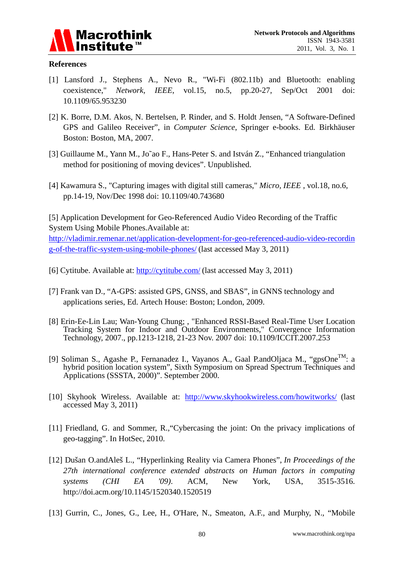

### **References**

- [1] Lansford J., Stephens A., Nevo R., "Wi-Fi (802.11b) and Bluetooth: enabling coexistence," *Network, IEEE*, vol.15, no.5, pp.20-27, Sep/Oct 2001 doi: 10.1109/65.953230
- [2] K. Borre, D.M. Akos, N. Bertelsen, P. Rinder, and S. Holdt Jensen, "A Software-Defined GPS and Galileo Receiver", in *Computer Science*, Springer e-books. Ed. Birkhäuser Boston: Boston, MA, 2007.
- [3] Guillaume M., Yann M., Jo~ao F., Hans-Peter S. and István Z., "Enhanced triangulation method for positioning of moving devices". Unpublished.
- [4] Kawamura S., "Capturing images with digital still cameras," *Micro, IEEE* , vol.18, no.6, pp.14-19, Nov/Dec 1998 doi: 10.1109/40.743680

[5] Application Development for Geo-Referenced Audio Video Recording of the Traffic System Using Mobile Phones.Available at:

http://vladimir.remenar.net/application-development-for-geo-referenced-audio-video-recordin g-of-the-traffic-system-using-mobile-phones/ (last accessed May 3, 2011)

- [6] Cytitube. Available at: http://cytitube.com/ (last accessed May 3, 2011)
- [7] Frank van D., "A-GPS: assisted GPS, GNSS, and SBAS", in GNNS technology and applications series, Ed. Artech House: Boston; London, 2009.
- [8] Erin-Ee-Lin Lau; Wan-Young Chung; , "Enhanced RSSI-Based Real-Time User Location Tracking System for Indoor and Outdoor Environments," Convergence Information Technology, 2007., pp.1213-1218, 21-23 Nov. 2007 doi: 10.1109/ICCIT.2007.253
- [9] Soliman S., Agashe P., Fernanadez I., Vayanos A., Gaal P.andOljaca M., "gpsOne<sup>TM</sup>: a hybrid position location system", Sixth Symposium on Spread Spectrum Techniques and Applications (SSSTA, 2000)". September 2000.
- [10] Skyhook Wireless. Available at: http://www.skyhookwireless.com/howitworks/ (last accessed May 3, 2011)
- [11] Friedland, G. and Sommer, R.,"Cybercasing the joint: On the privacy implications of geo-tagging". In HotSec, 2010.
- [12] Dušan O.andAleš L., "Hyperlinking Reality via Camera Phones", *In Proceedings of the 27th international conference extended abstracts on Human factors in computing systems (CHI EA '09)*. ACM, New York, USA, 3515-3516. http://doi.acm.org/10.1145/1520340.1520519
- [13] Gurrin, C., Jones, G., Lee, H., O'Hare, N., Smeaton, A.F., and Murphy, N., "Mobile